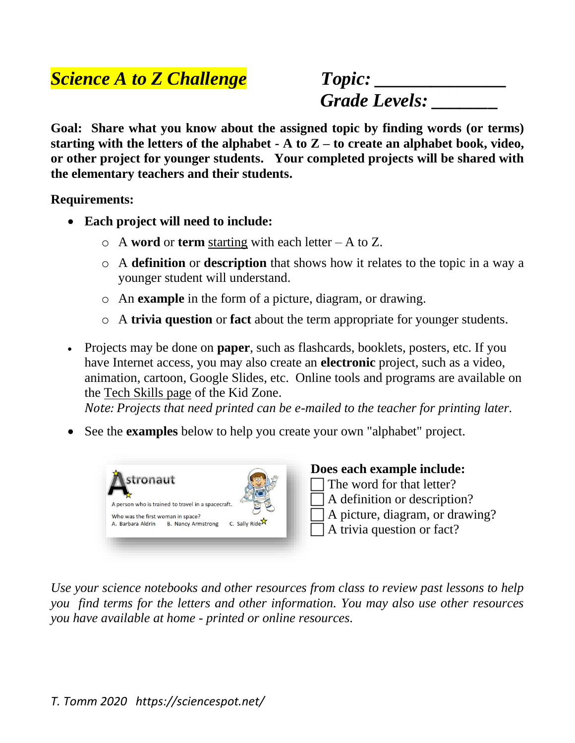## *Science A to Z Challenge Topic: \_\_\_\_\_\_\_\_\_\_\_\_\_\_*

 *Grade Levels: \_\_\_\_\_\_\_*

**Goal: Share what you know about the assigned topic by finding words (or terms) starting with the letters of the alphabet - A to Z – to create an alphabet book, video, or other project for younger students. Your completed projects will be shared with the elementary teachers and their students.**

**Requirements:**

- **Each project will need to include:** 
	- o A **word** or **term** starting with each letter A to Z.
	- o A **definition** or **description** that shows how it relates to the topic in a way a younger student will understand.
	- o An **example** in the form of a picture, diagram, or drawing.
	- o A **trivia question** or **fact** about the term appropriate for younger students.
- Projects may be done on **paper**, such as flashcards, booklets, posters, etc. If you have Internet access, you may also create an **electronic** project, such as a video, animation, cartoon, Google Slides, etc. Online tools and programs are available on the [Tech Skills page](https://sciencespot.net/Pages/kdztech.html) of the Kid Zone.

*Note: Projects that need printed can be e-mailed to the teacher for printing later.* 

• See the **examples** below to help you create your own "alphabet" project.



**Does each example include:** The word for that letter?

- A definition or description?
- A picture, diagram, or drawing?
- A trivia question or fact?

*Use your science notebooks and other resources from class to review past lessons to help you find terms for the letters and other information. You may also use other resources you have available at home - printed or online resources.*